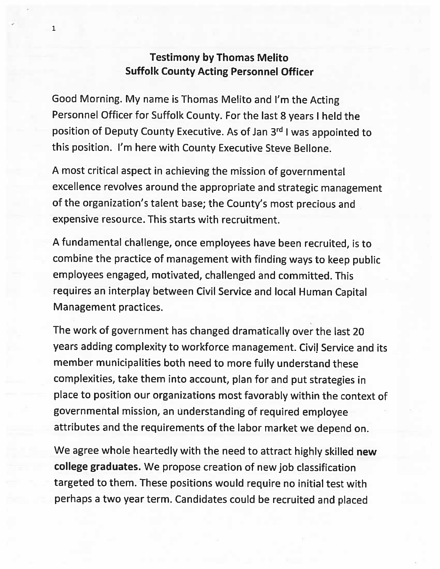## Testimony by Thomas Melito Suffolk County Acting Personnel Officer

1

Good Morning. My name is Thomas Melito and I'm the Acting Personnel Officer for Suffolk County. For the last <sup>8</sup> years <sup>I</sup> held the position of Deputy County Executive. As of Jan 3rd I was appointed to this position. I'm here with County Executive Steve Bellone.

<sup>A</sup> most critical aspect in achieving the mission of governmental excellence revolves around the appropriate and strategic management of the organization's talent base; the County's most precious and expensive resource. This starts with recruitment.

<sup>A</sup> fundamental challenge, once employees have been recruited, is to combine the practice of management with finding ways to keep public employees engaged, motivated, challenged and committed. This requires an interplay between Civil Service and local Human Capital Management practices.

The work of government has changed dramatically over the last <sup>20</sup> years adding complexity to workforce management. Civil Service and its member municipalities both need to more fully understand these complexities, take them into account, plan for and put strategies in <sup>p</sup>lace to position our organizations most favorably within the context of governmental mission, an understanding of required employee attributes and the requirements of the labor market we depend on.

We agree whole heartedly with the need to attract highly skilled new college graduates. We propose creation of new job classification targeted to them. These positions would require no initial test with perhaps <sup>a</sup> two year term. Candidates could be recruited and <sup>p</sup>laced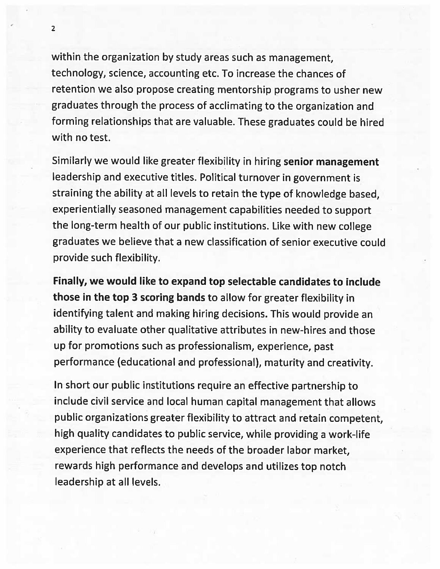within the organization by study areas such as management, technology, science, accounting etc. To increase the chances of retention we also propose creating mentorship programs to usher new graduates through the process of acclimating to the organization and forming relationships that are valuable. These graduates could be hired with no test.

Similarly we would like greater flexibility in hiring senior management leadership and executive titles. Political turnover in government is straining the ability at all levels to retain the type of knowledge based, experientially seasoned management capabilities needed to support the long-term health of our public institutions. Like with new college graduates we believe that <sup>a</sup> new classification of senior executive could provide such flexibility.

Finally, we would like to expand top selectable candidates to include those in the top <sup>3</sup> scoring bands to allow for greater flexibility in identifying talent and making hiring decisions. This would provide an ability to evaluate other qualitative attributes in new-hires and those up for promotions such as professionalism, experience, past performance (educational and professional), maturity and creativity.

In short our public institutions require an effective partnership to include civil service and local human capital management that allows public organizations greater flexibility to attract and retain competent, high quality candidates to public service, while providing <sup>a</sup> work-life experience that reflects the needs of the broader labor market rewards high performance and develops and utilizes top notch leadership at all levels.